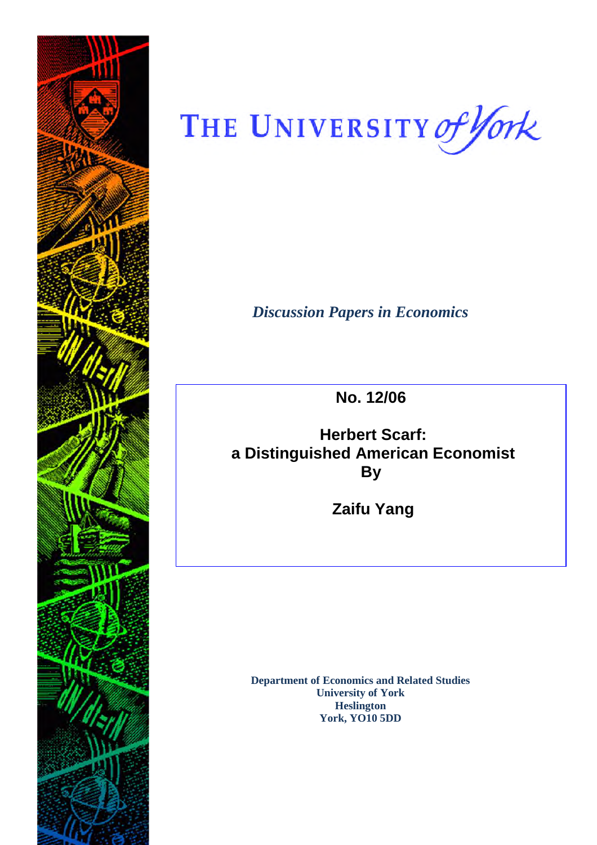

# THE UNIVERSITY of York

*Discussion Papers in Economics*

**No. 12/06**

**Herbert Scarf: a Distinguished American Economist By**

**Zaifu Yang**

**Department of Economics and Related Studies University of York Heslington York, YO10 5DD**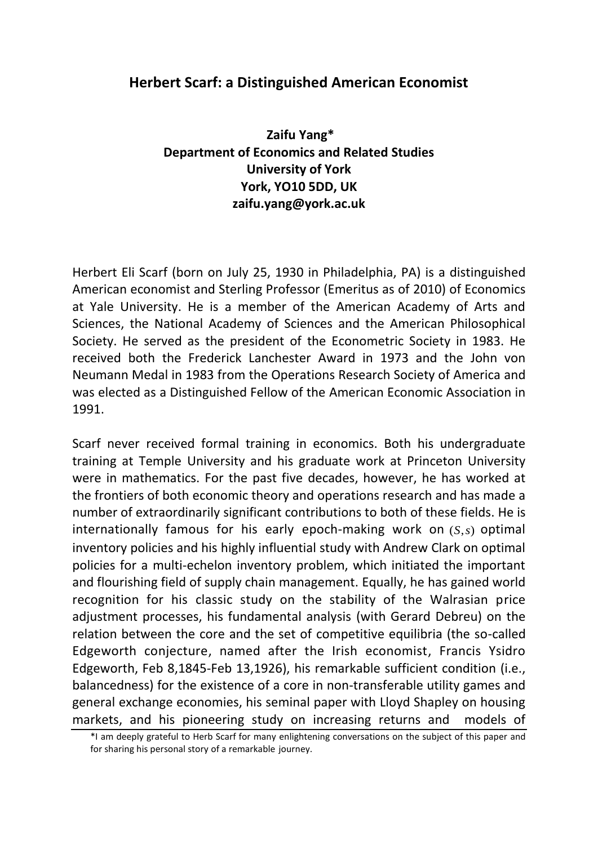# **Herbert Scarf: a Distinguished American Economist**

# **Zaifu Yang\* Department of Economics and Related Studies University of York York, YO10 5DD, UK zaifu.yang@york.ac.uk**

Herbert Eli Scarf (born on July 25, 1930 in Philadelphia, PA) is a distinguished American economist and Sterling Professor (Emeritus as of 2010) of Economics at Yale University. He is a member of the American Academy of Arts and Sciences, the National Academy of Sciences and the American Philosophical Society. He served as the president of the Econometric Society in 1983. He received both the Frederick Lanchester Award in 1973 and the John von Neumann Medal in 1983 from the Operations Research Society of America and was elected as a Distinguished Fellow of the American Economic Association in 1991.

Scarf never received formal training in economics. Both his undergraduate training at Temple University and his graduate work at Princeton University were in mathematics. For the past five decades, however, he has worked at the frontiers of both economic theory and operations research and has made a number of extraordinarily significant contributions to both of these fields. He is internationally famous for his early epoch-making work on (*S*,*<sup>s</sup>*) optimal inventory policies and his highly influential study with Andrew Clark on optimal policies for a multi-echelon inventory problem, which initiated the important and flourishing field of supply chain management. Equally, he has gained world recognition for his classic study on the stability of the Walrasian price adjustment processes, his fundamental analysis (with Gerard Debreu) on the relation between the core and the set of competitive equilibria (the so-called Edgeworth conjecture, named after the Irish economist, Francis Ysidro Edgeworth, Feb 8,1845-Feb 13,1926), his remarkable sufficient condition (i.e., balancedness) for the existence of a core in non-transferable utility games and general exchange economies, his seminal paper with Lloyd Shapley on housing markets, and his pioneering study on increasing returns and models of

<sup>\*</sup>I am deeply grateful to Herb Scarf for many enlightening conversations on the subject of this paper and for sharing his personal story of a remarkable journey.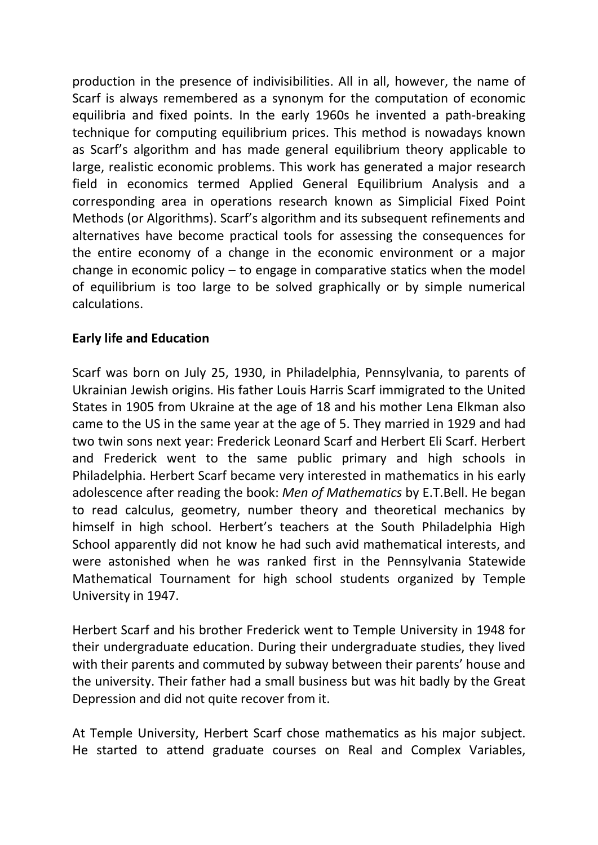production in the presence of indivisibilities. All in all, however, the name of Scarf is always remembered as a synonym for the computation of economic equilibria and fixed points. In the early 1960s he invented a path-breaking technique for computing equilibrium prices. This method is nowadays known as Scarf's algorithm and has made general equilibrium theory applicable to large, realistic economic problems. This work has generated a major research field in economics termed Applied General Equilibrium Analysis and a corresponding area in operations research known as Simplicial Fixed Point Methods (or Algorithms). Scarf's algorithm and its subsequent refinements and alternatives have become practical tools for assessing the consequences for the entire economy of a change in the economic environment or a major change in economic policy – to engage in comparative statics when the model of equilibrium is too large to be solved graphically or by simple numerical calculations.

# **Early life and Education**

Scarf was born on July 25, 1930, in Philadelphia, Pennsylvania, to parents of Ukrainian Jewish origins. His father Louis Harris Scarf immigrated to the United States in 1905 from Ukraine at the age of 18 and his mother Lena Elkman also came to the US in the same year at the age of 5. They married in 1929 and had two twin sons next year: Frederick Leonard Scarf and Herbert Eli Scarf. Herbert and Frederick went to the same public primary and high schools in Philadelphia. Herbert Scarf became very interested in mathematics in his early adolescence after reading the book: *Men of Mathematics* by E.T.Bell. He began to read calculus, geometry, number theory and theoretical mechanics by himself in high school. Herbert's teachers at the South Philadelphia High School apparently did not know he had such avid mathematical interests, and were astonished when he was ranked first in the Pennsylvania Statewide Mathematical Tournament for high school students organized by Temple University in 1947.

Herbert Scarf and his brother Frederick went to Temple University in 1948 for their undergraduate education. During their undergraduate studies, they lived with their parents and commuted by subway between their parents' house and the university. Their father had a small business but was hit badly by the Great Depression and did not quite recover from it.

At Temple University, Herbert Scarf chose mathematics as his major subject. He started to attend graduate courses on Real and Complex Variables,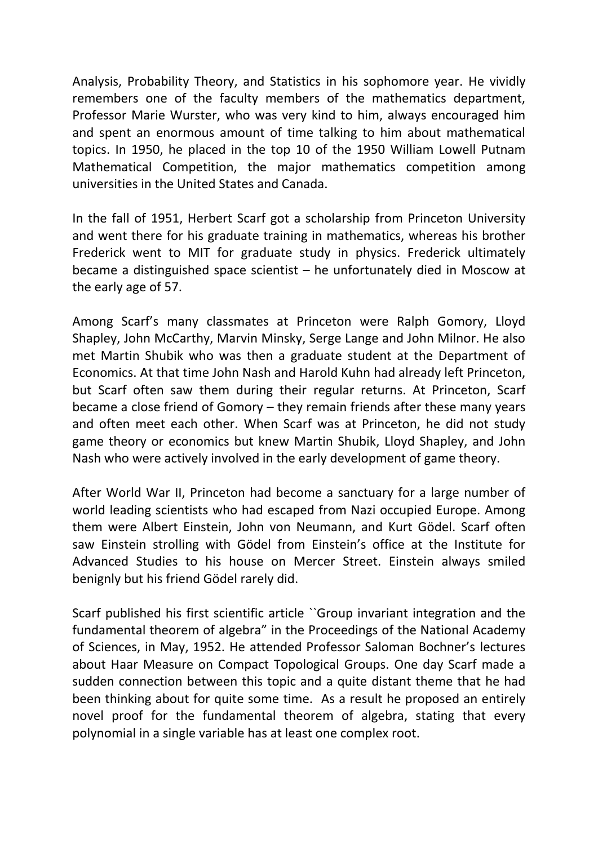Analysis, Probability Theory, and Statistics in his sophomore year. He vividly remembers one of the faculty members of the mathematics department, Professor Marie Wurster, who was very kind to him, always encouraged him and spent an enormous amount of time talking to him about mathematical topics. In 1950, he placed in the top 10 of the 1950 William Lowell Putnam Mathematical Competition, the major mathematics competition among universities in the United States and Canada.

In the fall of 1951, Herbert Scarf got a scholarship from Princeton University and went there for his graduate training in mathematics, whereas his brother Frederick went to MIT for graduate study in physics. Frederick ultimately became a distinguished space scientist – he unfortunately died in Moscow at the early age of 57.

Among Scarf's many classmates at Princeton were Ralph Gomory, Lloyd Shapley, John McCarthy, Marvin Minsky, Serge Lange and John Milnor. He also met Martin Shubik who was then a graduate student at the Department of Economics. At that time John Nash and Harold Kuhn had already left Princeton, but Scarf often saw them during their regular returns. At Princeton, Scarf became a close friend of Gomory – they remain friends after these many years and often meet each other. When Scarf was at Princeton, he did not study game theory or economics but knew Martin Shubik, Lloyd Shapley, and John Nash who were actively involved in the early development of game theory.

After World War II, Princeton had become a sanctuary for a large number of world leading scientists who had escaped from Nazi occupied Europe. Among them were Albert Einstein, John von Neumann, and Kurt Gödel. Scarf often saw Einstein strolling with Gödel from Einstein's office at the Institute for Advanced Studies to his house on Mercer Street. Einstein always smiled benignly but his friend Gödel rarely did.

Scarf published his first scientific article ``Group invariant integration and the fundamental theorem of algebra" in the Proceedings of the National Academy of Sciences, in May, 1952. He attended Professor Saloman Bochner's lectures about Haar Measure on Compact Topological Groups. One day Scarf made a sudden connection between this topic and a quite distant theme that he had been thinking about for quite some time. As a result he proposed an entirely novel proof for the fundamental theorem of algebra, stating that every polynomial in a single variable has at least one complex root.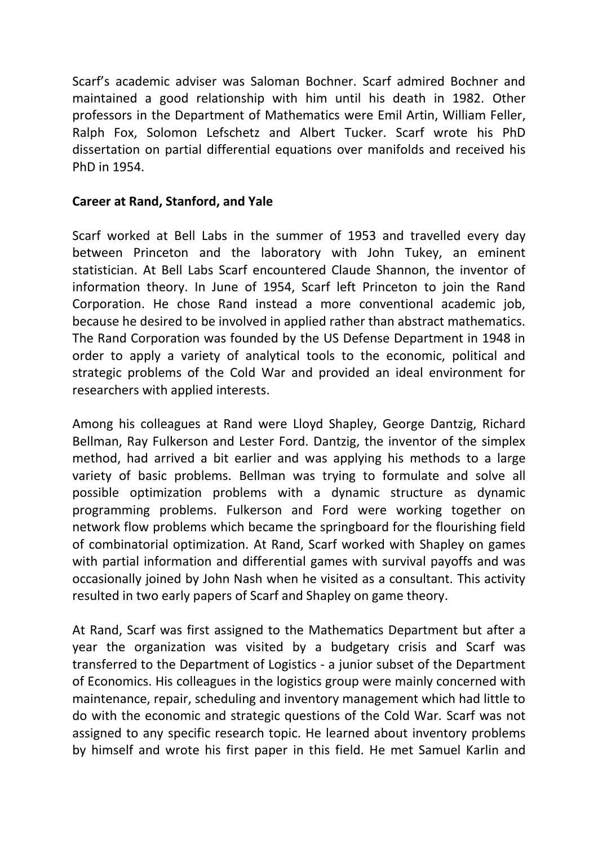Scarf's academic adviser was Saloman Bochner. Scarf admired Bochner and maintained a good relationship with him until his death in 1982. Other professors in the Department of Mathematics were Emil Artin, William Feller, Ralph Fox, Solomon Lefschetz and Albert Tucker. Scarf wrote his PhD dissertation on partial differential equations over manifolds and received his PhD in 1954.

# **Career at Rand, Stanford, and Yale**

Scarf worked at Bell Labs in the summer of 1953 and travelled every day between Princeton and the laboratory with John Tukey, an eminent statistician. At Bell Labs Scarf encountered Claude Shannon, the inventor of information theory. In June of 1954, Scarf left Princeton to join the Rand Corporation. He chose Rand instead a more conventional academic job, because he desired to be involved in applied rather than abstract mathematics. The Rand Corporation was founded by the US Defense Department in 1948 in order to apply a variety of analytical tools to the economic, political and strategic problems of the Cold War and provided an ideal environment for researchers with applied interests.

Among his colleagues at Rand were Lloyd Shapley, George Dantzig, Richard Bellman, Ray Fulkerson and Lester Ford. Dantzig, the inventor of the simplex method, had arrived a bit earlier and was applying his methods to a large variety of basic problems. Bellman was trying to formulate and solve all possible optimization problems with a dynamic structure as dynamic programming problems. Fulkerson and Ford were working together on network flow problems which became the springboard for the flourishing field of combinatorial optimization. At Rand, Scarf worked with Shapley on games with partial information and differential games with survival payoffs and was occasionally joined by John Nash when he visited as a consultant. This activity resulted in two early papers of Scarf and Shapley on game theory.

At Rand, Scarf was first assigned to the Mathematics Department but after a year the organization was visited by a budgetary crisis and Scarf was transferred to the Department of Logistics - a junior subset of the Department of Economics. His colleagues in the logistics group were mainly concerned with maintenance, repair, scheduling and inventory management which had little to do with the economic and strategic questions of the Cold War. Scarf was not assigned to any specific research topic. He learned about inventory problems by himself and wrote his first paper in this field. He met Samuel Karlin and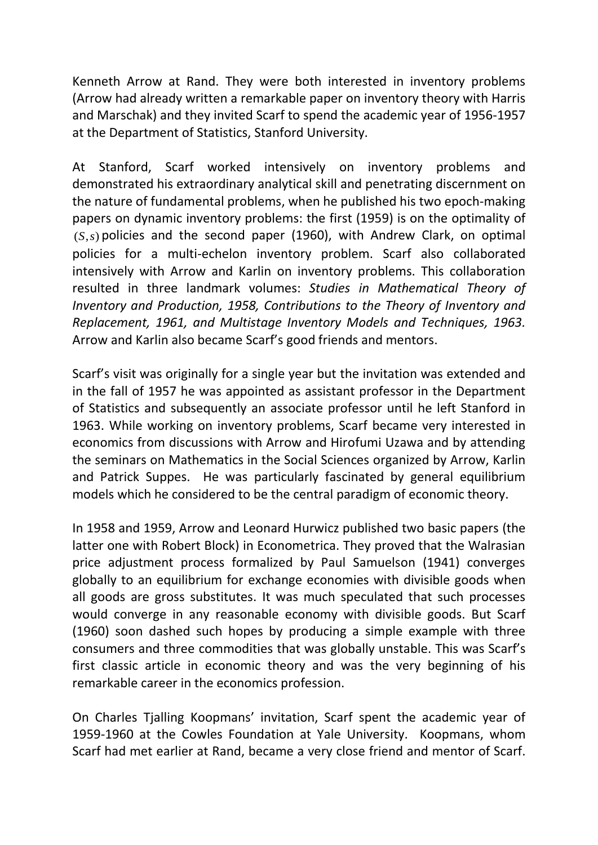Kenneth Arrow at Rand. They were both interested in inventory problems (Arrow had already written a remarkable paper on inventory theory with Harris and Marschak) and they invited Scarf to spend the academic year of 1956-1957 at the Department of Statistics, Stanford University.

At Stanford, Scarf worked intensively on inventory problems and demonstrated his extraordinary analytical skill and penetrating discernment on the nature of fundamental problems, when he published his two epoch-making papers on dynamic inventory problems: the first (1959) is on the optimality of (*S*,*<sup>s</sup>*) policies and the second paper (1960), with Andrew Clark, on optimal policies for a multi-echelon inventory problem. Scarf also collaborated intensively with Arrow and Karlin on inventory problems. This collaboration resulted in three landmark volumes: *Studies in Mathematical Theory of Inventory and Production, 1958, Contributions to the Theory of Inventory and Replacement, 1961, and Multistage Inventory Models and Techniques, 1963.* Arrow and Karlin also became Scarf's good friends and mentors.

Scarf's visit was originally for a single year but the invitation was extended and in the fall of 1957 he was appointed as assistant professor in the Department of Statistics and subsequently an associate professor until he left Stanford in 1963. While working on inventory problems, Scarf became very interested in economics from discussions with Arrow and Hirofumi Uzawa and by attending the seminars on Mathematics in the Social Sciences organized by Arrow, Karlin and Patrick Suppes. He was particularly fascinated by general equilibrium models which he considered to be the central paradigm of economic theory.

In 1958 and 1959, Arrow and Leonard Hurwicz published two basic papers (the latter one with Robert Block) in Econometrica. They proved that the Walrasian price adjustment process formalized by Paul Samuelson (1941) converges globally to an equilibrium for exchange economies with divisible goods when all goods are gross substitutes. It was much speculated that such processes would converge in any reasonable economy with divisible goods. But Scarf (1960) soon dashed such hopes by producing a simple example with three consumers and three commodities that was globally unstable. This was Scarf's first classic article in economic theory and was the very beginning of his remarkable career in the economics profession.

On Charles Tjalling Koopmans' invitation, Scarf spent the academic year of 1959-1960 at the Cowles Foundation at Yale University. Koopmans, whom Scarf had met earlier at Rand, became a very close friend and mentor of Scarf.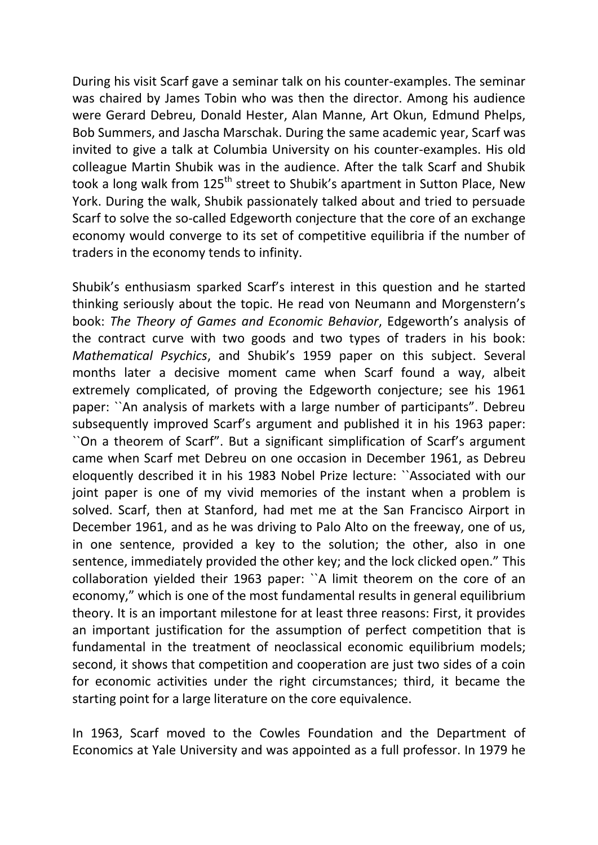During his visit Scarf gave a seminar talk on his counter-examples. The seminar was chaired by James Tobin who was then the director. Among his audience were Gerard Debreu, Donald Hester, Alan Manne, Art Okun, Edmund Phelps, Bob Summers, and Jascha Marschak. During the same academic year, Scarf was invited to give a talk at Columbia University on his counter-examples. His old colleague Martin Shubik was in the audience. After the talk Scarf and Shubik took a long walk from 125<sup>th</sup> street to Shubik's apartment in Sutton Place, New York. During the walk, Shubik passionately talked about and tried to persuade Scarf to solve the so-called Edgeworth conjecture that the core of an exchange economy would converge to its set of competitive equilibria if the number of traders in the economy tends to infinity.

Shubik's enthusiasm sparked Scarf's interest in this question and he started thinking seriously about the topic. He read von Neumann and Morgenstern's book: *The Theory of Games and Economic Behavior*, Edgeworth's analysis of the contract curve with two goods and two types of traders in his book: *Mathematical Psychics*, and Shubik's 1959 paper on this subject. Several months later a decisive moment came when Scarf found a way, albeit extremely complicated, of proving the Edgeworth conjecture; see his 1961 paper: ``An analysis of markets with a large number of participants". Debreu subsequently improved Scarf's argument and published it in his 1963 paper: ``On a theorem of Scarf". But a significant simplification of Scarf's argument came when Scarf met Debreu on one occasion in December 1961, as Debreu eloquently described it in his 1983 Nobel Prize lecture: ``Associated with our joint paper is one of my vivid memories of the instant when a problem is solved. Scarf, then at Stanford, had met me at the San Francisco Airport in December 1961, and as he was driving to Palo Alto on the freeway, one of us, in one sentence, provided a key to the solution; the other, also in one sentence, immediately provided the other key; and the lock clicked open." This collaboration yielded their 1963 paper: ``A limit theorem on the core of an economy," which is one of the most fundamental results in general equilibrium theory. It is an important milestone for at least three reasons: First, it provides an important justification for the assumption of perfect competition that is fundamental in the treatment of neoclassical economic equilibrium models; second, it shows that competition and cooperation are just two sides of a coin for economic activities under the right circumstances; third, it became the starting point for a large literature on the core equivalence.

In 1963, Scarf moved to the Cowles Foundation and the Department of Economics at Yale University and was appointed as a full professor. In 1979 he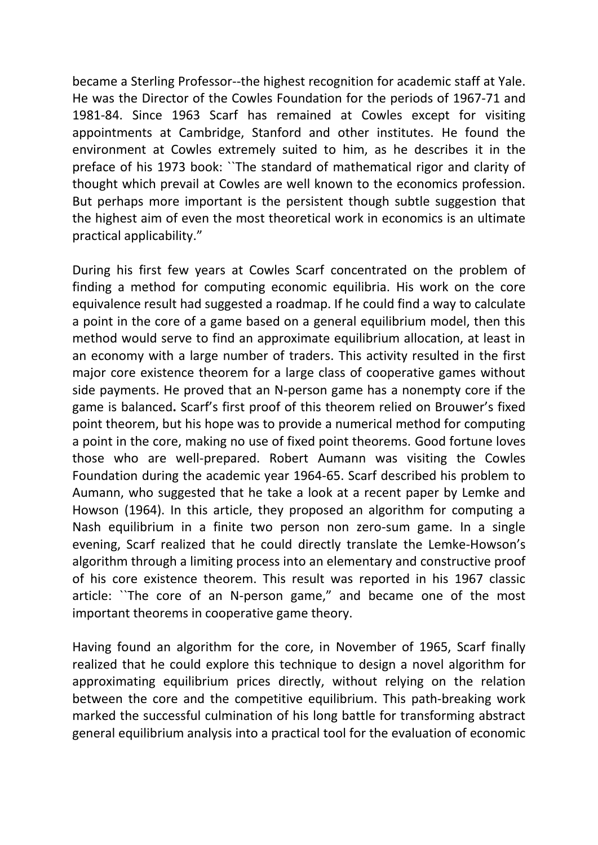became a Sterling Professor--the highest recognition for academic staff at Yale. He was the Director of the Cowles Foundation for the periods of 1967-71 and 1981-84. Since 1963 Scarf has remained at Cowles except for visiting appointments at Cambridge, Stanford and other institutes. He found the environment at Cowles extremely suited to him, as he describes it in the preface of his 1973 book: ``The standard of mathematical rigor and clarity of thought which prevail at Cowles are well known to the economics profession. But perhaps more important is the persistent though subtle suggestion that the highest aim of even the most theoretical work in economics is an ultimate practical applicability."

During his first few years at Cowles Scarf concentrated on the problem of finding a method for computing economic equilibria. His work on the core equivalence result had suggested a roadmap. If he could find a way to calculate a point in the core of a game based on a general equilibrium model, then this method would serve to find an approximate equilibrium allocation, at least in an economy with a large number of traders. This activity resulted in the first major core existence theorem for a large class of cooperative games without side payments. He proved that an N-person game has a nonempty core if the game is balanced**.** Scarf's first proof of this theorem relied on Brouwer's fixed point theorem, but his hope was to provide a numerical method for computing a point in the core, making no use of fixed point theorems. Good fortune loves those who are well-prepared. Robert Aumann was visiting the Cowles Foundation during the academic year 1964-65. Scarf described his problem to Aumann, who suggested that he take a look at a recent paper by Lemke and Howson (1964). In this article, they proposed an algorithm for computing a Nash equilibrium in a finite two person non zero-sum game. In a single evening, Scarf realized that he could directly translate the Lemke-Howson's algorithm through a limiting process into an elementary and constructive proof of his core existence theorem. This result was reported in his 1967 classic article: ``The core of an N-person game," and became one of the most important theorems in cooperative game theory.

Having found an algorithm for the core, in November of 1965, Scarf finally realized that he could explore this technique to design a novel algorithm for approximating equilibrium prices directly, without relying on the relation between the core and the competitive equilibrium. This path-breaking work marked the successful culmination of his long battle for transforming abstract general equilibrium analysis into a practical tool for the evaluation of economic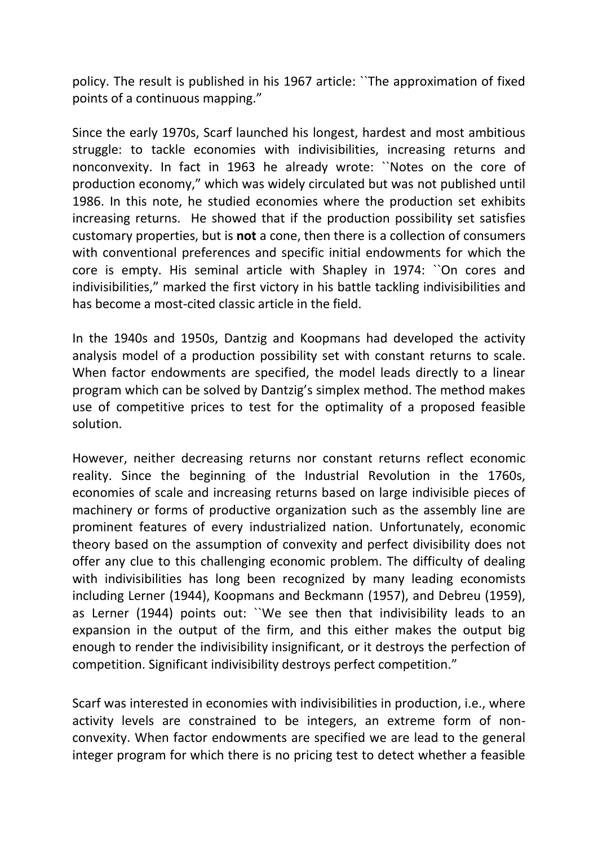policy. The result is published in his 1967 article: ``The approximation of fixed points of a continuous mapping."

Since the early 1970s, Scarf launched his longest, hardest and most ambitious struggle: to tackle economies with indivisibilities, increasing returns and nonconvexity. In fact in 1963 he already wrote: ``Notes on the core of production economy," which was widely circulated but was not published until 1986. In this note, he studied economies where the production set exhibits increasing returns. He showed that if the production possibility set satisfies customary properties, but is **not** a cone, then there is a collection of consumers with conventional preferences and specific initial endowments for which the core is empty. His seminal article with Shapley in 1974: ``On cores and indivisibilities," marked the first victory in his battle tackling indivisibilities and has become a most-cited classic article in the field.

In the 1940s and 1950s, Dantzig and Koopmans had developed the activity analysis model of a production possibility set with constant returns to scale. When factor endowments are specified, the model leads directly to a linear program which can be solved by Dantzig's simplex method. The method makes use of competitive prices to test for the optimality of a proposed feasible solution.

However, neither decreasing returns nor constant returns reflect economic reality. Since the beginning of the Industrial Revolution in the 1760s, economies of scale and increasing returns based on large indivisible pieces of machinery or forms of productive organization such as the assembly line are prominent features of every industrialized nation. Unfortunately, economic theory based on the assumption of convexity and perfect divisibility does not offer any clue to this challenging economic problem. The difficulty of dealing with indivisibilities has long been recognized by many leading economists including Lerner (1944), Koopmans and Beckmann (1957), and Debreu (1959), as Lerner (1944) points out: ``We see then that indivisibility leads to an expansion in the output of the firm, and this either makes the output big enough to render the indivisibility insignificant, or it destroys the perfection of competition. Significant indivisibility destroys perfect competition."

Scarf was interested in economies with indivisibilities in production, i.e., where activity levels are constrained to be integers, an extreme form of nonconvexity. When factor endowments are specified we are lead to the general integer program for which there is no pricing test to detect whether a feasible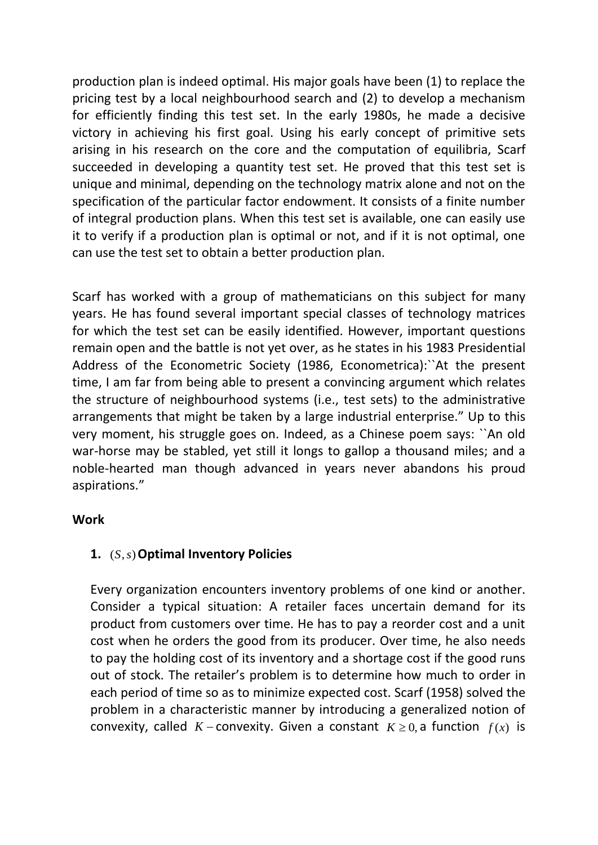production plan is indeed optimal. His major goals have been (1) to replace the pricing test by a local neighbourhood search and (2) to develop a mechanism for efficiently finding this test set. In the early 1980s, he made a decisive victory in achieving his first goal. Using his early concept of primitive sets arising in his research on the core and the computation of equilibria, Scarf succeeded in developing a quantity test set. He proved that this test set is unique and minimal, depending on the technology matrix alone and not on the specification of the particular factor endowment. It consists of a finite number of integral production plans. When this test set is available, one can easily use it to verify if a production plan is optimal or not, and if it is not optimal, one can use the test set to obtain a better production plan.

Scarf has worked with a group of mathematicians on this subject for many years. He has found several important special classes of technology matrices for which the test set can be easily identified. However, important questions remain open and the battle is not yet over, as he states in his 1983 Presidential Address of the Econometric Society (1986, Econometrica):``At the present time, I am far from being able to present a convincing argument which relates the structure of neighbourhood systems (i.e., test sets) to the administrative arrangements that might be taken by a large industrial enterprise." Up to this very moment, his struggle goes on. Indeed, as a Chinese poem says: ``An old war-horse may be stabled, yet still it longs to gallop a thousand miles; and a noble-hearted man though advanced in years never abandons his proud aspirations."

# **Work**

# **1.** (*S*,*<sup>s</sup>*) **Optimal Inventory Policies**

Every organization encounters inventory problems of one kind or another. Consider a typical situation: A retailer faces uncertain demand for its product from customers over time. He has to pay a reorder cost and a unit cost when he orders the good from its producer. Over time, he also needs to pay the holding cost of its inventory and a shortage cost if the good runs out of stock. The retailer's problem is to determine how much to order in each period of time so as to minimize expected cost. Scarf (1958) solved the problem in a characteristic manner by introducing a generalized notion of convexity, called  $K$  – convexity. Given a constant  $K \geq 0$ , a function  $f(x)$  is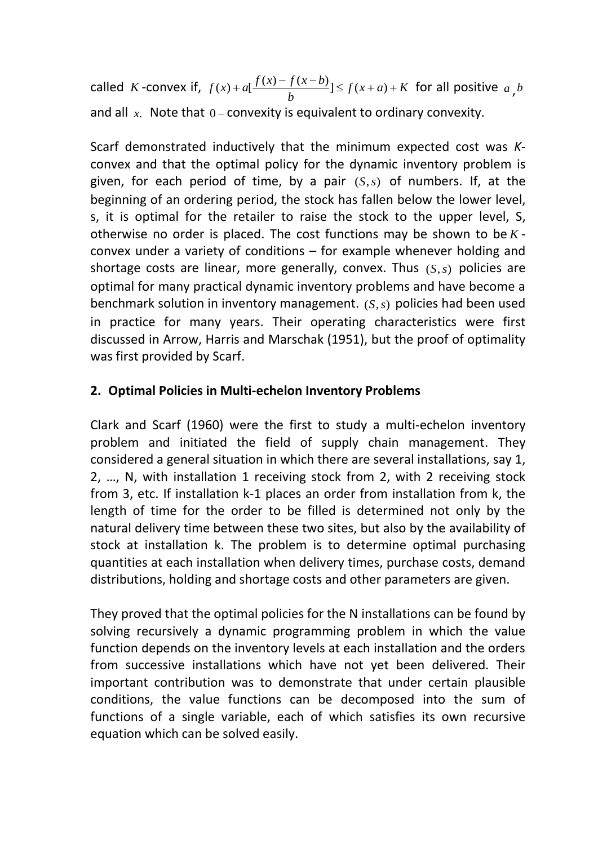called *K*-convex if,  $f(x) + a[\frac{f(x)-f(x-b)}{b}] \le f(x+a) + K$  $f(x) + a[\frac{f(x) - f(x - b)}{b}] \le f(x + a) + K$  for all positive a, *b* and all  $x$ . Note that  $0$  – convexity is equivalent to ordinary convexity.

Scarf demonstrated inductively that the minimum expected cost was *K*convex and that the optimal policy for the dynamic inventory problem is given, for each period of time, by a pair (*S*,*<sup>s</sup>*) of numbers. If, at the beginning of an ordering period, the stock has fallen below the lower level, s, it is optimal for the retailer to raise the stock to the upper level, S, otherwise no order is placed. The cost functions may be shown to be *K* convex under a variety of conditions – for example whenever holding and shortage costs are linear, more generally, convex. Thus (*S*,*s*) policies are optimal for many practical dynamic inventory problems and have become a benchmark solution in inventory management. (*S*,*<sup>s</sup>*) policies had been used in practice for many years. Their operating characteristics were first discussed in Arrow, Harris and Marschak (1951), but the proof of optimality was first provided by Scarf.

# **2. Optimal Policies in Multi-echelon Inventory Problems**

Clark and Scarf (1960) were the first to study a multi-echelon inventory problem and initiated the field of supply chain management. They considered a general situation in which there are several installations, say 1, 2, …, N, with installation 1 receiving stock from 2, with 2 receiving stock from 3, etc. If installation k-1 places an order from installation from k, the length of time for the order to be filled is determined not only by the natural delivery time between these two sites, but also by the availability of stock at installation k. The problem is to determine optimal purchasing quantities at each installation when delivery times, purchase costs, demand distributions, holding and shortage costs and other parameters are given.

They proved that the optimal policies for the N installations can be found by solving recursively a dynamic programming problem in which the value function depends on the inventory levels at each installation and the orders from successive installations which have not yet been delivered. Their important contribution was to demonstrate that under certain plausible conditions, the value functions can be decomposed into the sum of functions of a single variable, each of which satisfies its own recursive equation which can be solved easily.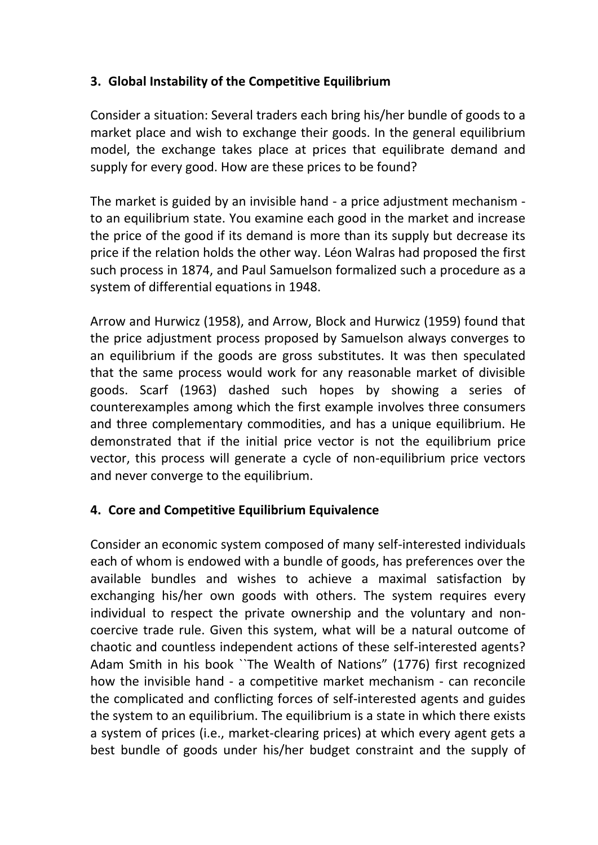# **3. Global Instability of the Competitive Equilibrium**

Consider a situation: Several traders each bring his/her bundle of goods to a market place and wish to exchange their goods. In the general equilibrium model, the exchange takes place at prices that equilibrate demand and supply for every good. How are these prices to be found?

The market is guided by an invisible hand - a price adjustment mechanism to an equilibrium state. You examine each good in the market and increase the price of the good if its demand is more than its supply but decrease its price if the relation holds the other way. Léon Walras had proposed the first such process in 1874, and Paul Samuelson formalized such a procedure as a system of differential equations in 1948.

Arrow and Hurwicz (1958), and Arrow, Block and Hurwicz (1959) found that the price adjustment process proposed by Samuelson always converges to an equilibrium if the goods are gross substitutes. It was then speculated that the same process would work for any reasonable market of divisible goods. Scarf (1963) dashed such hopes by showing a series of counterexamples among which the first example involves three consumers and three complementary commodities, and has a unique equilibrium. He demonstrated that if the initial price vector is not the equilibrium price vector, this process will generate a cycle of non-equilibrium price vectors and never converge to the equilibrium.

# **4. Core and Competitive Equilibrium Equivalence**

Consider an economic system composed of many self-interested individuals each of whom is endowed with a bundle of goods, has preferences over the available bundles and wishes to achieve a maximal satisfaction by exchanging his/her own goods with others. The system requires every individual to respect the private ownership and the voluntary and noncoercive trade rule. Given this system, what will be a natural outcome of chaotic and countless independent actions of these self-interested agents? Adam Smith in his book ``The Wealth of Nations" (1776) first recognized how the invisible hand - a competitive market mechanism - can reconcile the complicated and conflicting forces of self-interested agents and guides the system to an equilibrium. The equilibrium is a state in which there exists a system of prices (i.e., market-clearing prices) at which every agent gets a best bundle of goods under his/her budget constraint and the supply of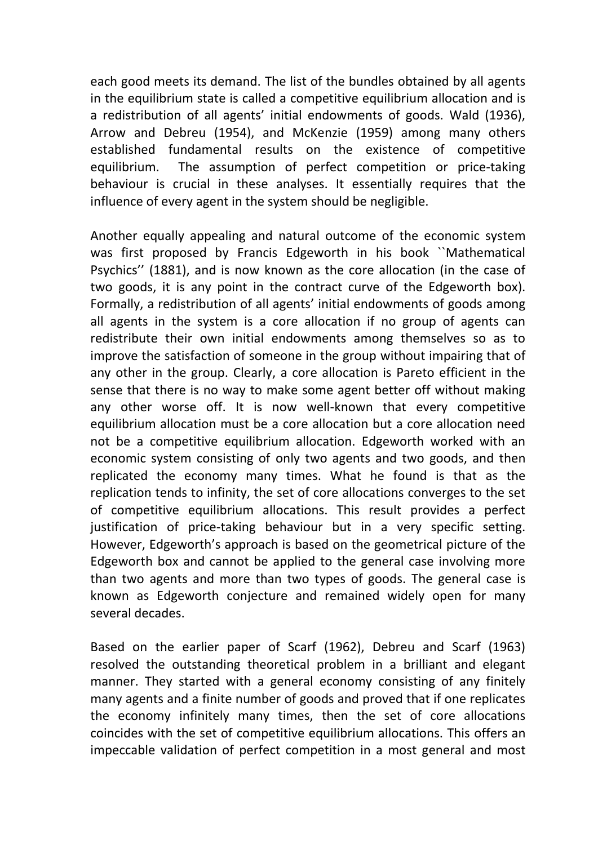each good meets its demand. The list of the bundles obtained by all agents in the equilibrium state is called a competitive equilibrium allocation and is a redistribution of all agents' initial endowments of goods. Wald (1936), Arrow and Debreu (1954), and McKenzie (1959) among many others established fundamental results on the existence of competitive equilibrium. The assumption of perfect competition or price-taking behaviour is crucial in these analyses. It essentially requires that the influence of every agent in the system should be negligible.

Another equally appealing and natural outcome of the economic system was first proposed by Francis Edgeworth in his book ``Mathematical Psychics'' (1881), and is now known as the core allocation (in the case of two goods, it is any point in the contract curve of the Edgeworth box). Formally, a redistribution of all agents' initial endowments of goods among all agents in the system is a core allocation if no group of agents can redistribute their own initial endowments among themselves so as to improve the satisfaction of someone in the group without impairing that of any other in the group. Clearly, a core allocation is Pareto efficient in the sense that there is no way to make some agent better off without making any other worse off. It is now well-known that every competitive equilibrium allocation must be a core allocation but a core allocation need not be a competitive equilibrium allocation. Edgeworth worked with an economic system consisting of only two agents and two goods, and then replicated the economy many times. What he found is that as the replication tends to infinity, the set of core allocations converges to the set of competitive equilibrium allocations. This result provides a perfect justification of price-taking behaviour but in a very specific setting. However, Edgeworth's approach is based on the geometrical picture of the Edgeworth box and cannot be applied to the general case involving more than two agents and more than two types of goods. The general case is known as Edgeworth conjecture and remained widely open for many several decades.

Based on the earlier paper of Scarf (1962), Debreu and Scarf (1963) resolved the outstanding theoretical problem in a brilliant and elegant manner. They started with a general economy consisting of any finitely many agents and a finite number of goods and proved that if one replicates the economy infinitely many times, then the set of core allocations coincides with the set of competitive equilibrium allocations. This offers an impeccable validation of perfect competition in a most general and most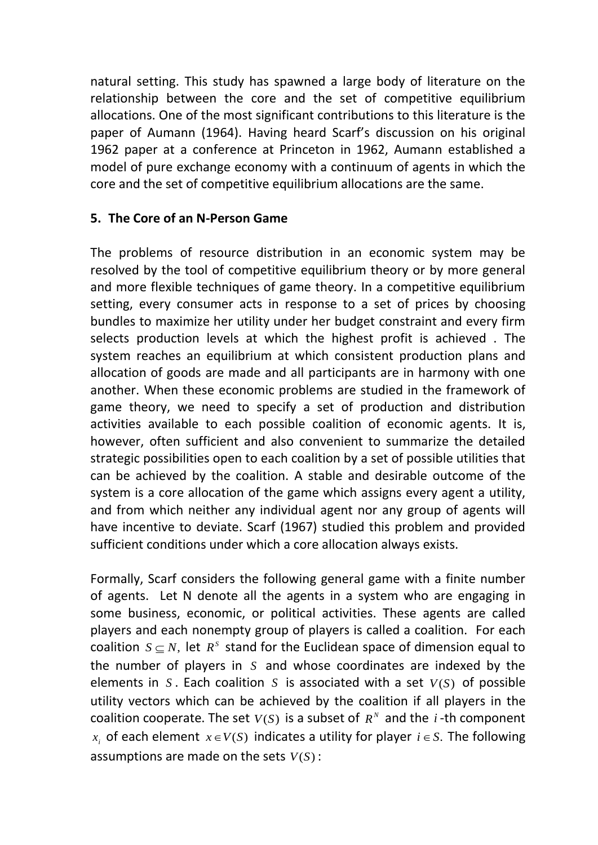natural setting. This study has spawned a large body of literature on the relationship between the core and the set of competitive equilibrium allocations. One of the most significant contributions to this literature is the paper of Aumann (1964). Having heard Scarf's discussion on his original 1962 paper at a conference at Princeton in 1962, Aumann established a model of pure exchange economy with a continuum of agents in which the core and the set of competitive equilibrium allocations are the same.

# **5. The Core of an N-Person Game**

The problems of resource distribution in an economic system may be resolved by the tool of competitive equilibrium theory or by more general and more flexible techniques of game theory. In a competitive equilibrium setting, every consumer acts in response to a set of prices by choosing bundles to maximize her utility under her budget constraint and every firm selects production levels at which the highest profit is achieved . The system reaches an equilibrium at which consistent production plans and allocation of goods are made and all participants are in harmony with one another. When these economic problems are studied in the framework of game theory, we need to specify a set of production and distribution activities available to each possible coalition of economic agents. It is, however, often sufficient and also convenient to summarize the detailed strategic possibilities open to each coalition by a set of possible utilities that can be achieved by the coalition. A stable and desirable outcome of the system is a core allocation of the game which assigns every agent a utility, and from which neither any individual agent nor any group of agents will have incentive to deviate. Scarf (1967) studied this problem and provided sufficient conditions under which a core allocation always exists.

Formally, Scarf considers the following general game with a finite number of agents. Let N denote all the agents in a system who are engaging in some business, economic, or political activities. These agents are called players and each nonempty group of players is called a coalition. For each coalition  $S \subseteq N$ , let  $R^s$  stand for the Euclidean space of dimension equal to the number of players in  $S$  and whose coordinates are indexed by the elements in  $S$ . Each coalition  $S$  is associated with a set  $V(S)$  of possible utility vectors which can be achieved by the coalition if all players in the coalition cooperate. The set  $V(S)$  is a subset of  $R^N$  and the *i*-th component  $x_i$  of each element  $x \in V(S)$  indicates a utility for player  $i \in S$ . The following assumptions are made on the sets *V*(*S*) :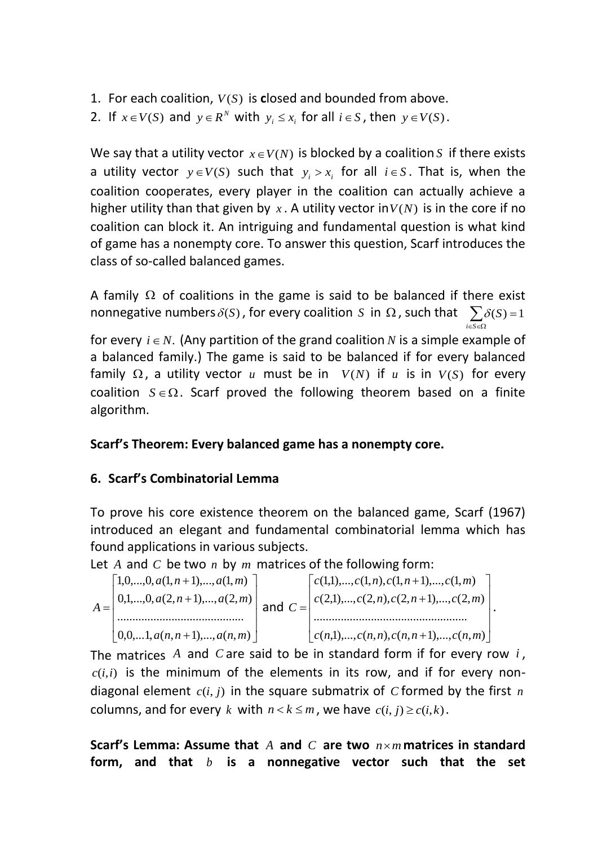- 1. For each coalition, *V*(*S*) is **c**losed and bounded from above.
- 2. If  $x \in V(S)$  and  $y \in R^N$  with  $y_i \le x_i$  for all  $i \in S$ , then  $y \in V(S)$ .

We say that a utility vector  $x \in V(N)$  is blocked by a coalition S if there exists a utility vector  $y \in V(S)$  such that  $y_i > x_i$  for all  $i \in S$ . That is, when the coalition cooperates, every player in the coalition can actually achieve a higher utility than that given by  $x$ . A utility vector in $V(N)$  is in the core if no coalition can block it. An intriguing and fundamental question is what kind of game has a nonempty core. To answer this question, Scarf introduces the class of so-called balanced games.

A family  $\Omega$  of coalitions in the game is said to be balanced if there exist nonnegative numbers  $\delta(S)$ , for every coalition S in  $\Omega$ , such that  $\sum \delta(S) = 1$  $i \in S \in \Omega$ for every  $i \in N$ . (Any partition of the grand coalition N is a simple example of a balanced family.) The game is said to be balanced if for every balanced family  $\Omega$ , a utility vector u must be in  $V(N)$  if u is in  $V(S)$  for every coalition  $S \in \Omega$ . Scarf proved the following theorem based on a finite algorithm.

# **Scarf's Theorem: Every balanced game has a nonempty core.**

#### **6. Scarf's Combinatorial Lemma**

To prove his core existence theorem on the balanced game, Scarf (1967) introduced an elegant and fundamental combinatorial lemma which has found applications in various subjects.

Let  $A$  and  $C$  be two  $n$  by  $m$  matrices of the following form:

$$
A = \begin{bmatrix} 1,0,...,0,a(1,n+1),...,a(1,m) \\ 0,1,...,0,a(2,n+1),...,a(2,m) \\ \vdots \\ 0,0,...1,a(n,n+1),...,a(n,m) \end{bmatrix} \text{ and } C = \begin{bmatrix} c(1,1),...,c(1,n),c(1,n+1),...,c(1,m) \\ c(2,1),...,c(2,n),c(2,n+1),...,c(2,m) \\ \vdots \\ c(n,1),...,c(n,n),c(n,n+1),...,c(n,m) \end{bmatrix}.
$$

The matrices  $A$  and  $C$  are said to be in standard form if for every row  $i$ ,  $c(i,i)$  is the minimum of the elements in its row, and if for every nondiagonal element  $c(i, j)$  in the square submatrix of C formed by the first  $n$ columns, and for every k with  $n < k \le m$ , we have  $c(i, j) \ge c(i, k)$ .

Scarf's Lemma: Assume that A and C are two  $n \times m$  matrices in standard **form, and that**  *b* **is a nonnegative vector such that the set**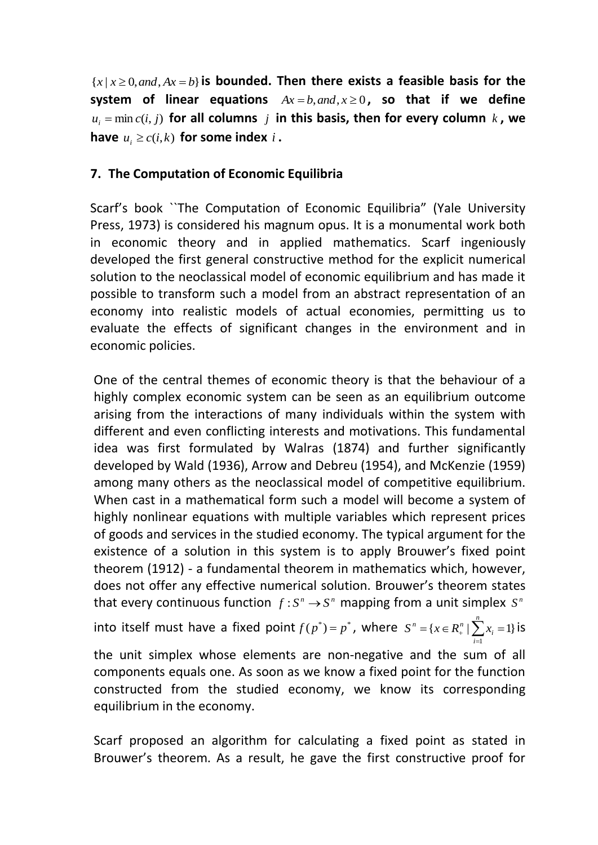$\{x \mid x \geq 0, and, Ax = b\}$  is bounded. Then there exists a feasible basis for the system of linear equations  $Ax = b$ , *and*,  $x \ge 0$ , so that if we define  $u_i = \min c(i, j)$  for all columns *j* in this basis, then for every column  $k$ , we have  $u_i \geq c(i,k)$  for some index *i*.

### **7. The Computation of Economic Equilibria**

Scarf's book ``The Computation of Economic Equilibria" (Yale University Press, 1973) is considered his magnum opus. It is a monumental work both in economic theory and in applied mathematics. Scarf ingeniously developed the first general constructive method for the explicit numerical solution to the neoclassical model of economic equilibrium and has made it possible to transform such a model from an abstract representation of an economy into realistic models of actual economies, permitting us to evaluate the effects of significant changes in the environment and in economic policies.

One of the central themes of economic theory is that the behaviour of a highly complex economic system can be seen as an equilibrium outcome arising from the interactions of many individuals within the system with different and even conflicting interests and motivations. This fundamental idea was first formulated by Walras (1874) and further significantly developed by Wald (1936), Arrow and Debreu (1954), and McKenzie (1959) among many others as the neoclassical model of competitive equilibrium. When cast in a mathematical form such a model will become a system of highly nonlinear equations with multiple variables which represent prices of goods and services in the studied economy. The typical argument for the existence of a solution in this system is to apply Brouwer's fixed point theorem (1912) - a fundamental theorem in mathematics which, however, does not offer any effective numerical solution. Brouwer's theorem states that every continuous function  $f : S^n \to S^n$  mapping from a unit simplex  $S^n$ 

into itself must have a fixed point  $f(p^*) = p^*$ , where  $S^n = \{x \in R^n : |\sum x_i = 1\}$ 1  $=\{x \in R_{+}^{n} | \sum x_{i} =$ *i*  $S^n = \{x \in R_+^n \mid \sum x_i = 1\}$  is

the unit simplex whose elements are non-negative and the sum of all components equals one. As soon as we know a fixed point for the function constructed from the studied economy, we know its corresponding equilibrium in the economy.

Scarf proposed an algorithm for calculating a fixed point as stated in Brouwer's theorem. As a result, he gave the first constructive proof for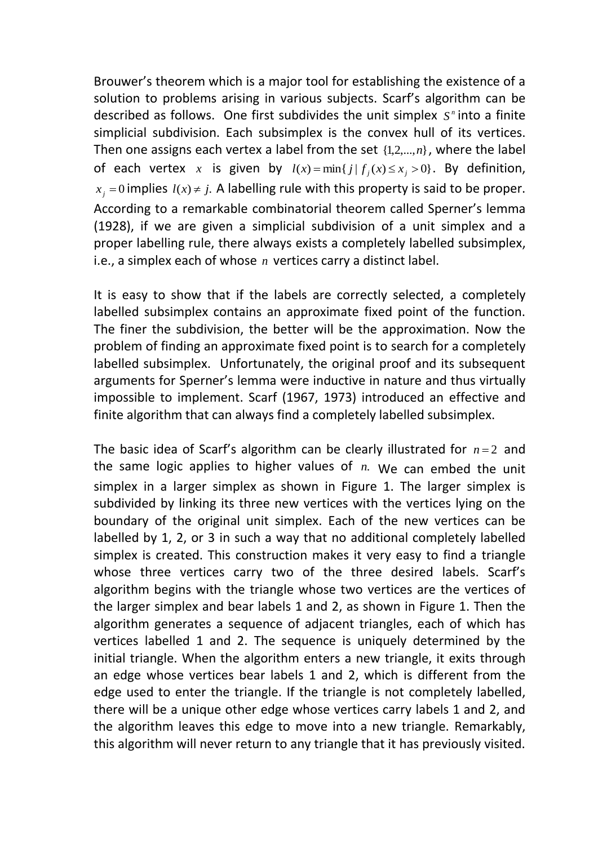Brouwer's theorem which is a major tool for establishing the existence of a solution to problems arising in various subjects. Scarf's algorithm can be described as follows. One first subdivides the unit simplex  $S<sup>n</sup>$  into a finite simplicial subdivision. Each subsimplex is the convex hull of its vertices. Then one assigns each vertex a label from the set {1,2,...,*n*} , where the label of each vertex x is given by  $l(x) = min\{ j | f_j(x) \le x_j > 0 \}$ . By definition,  $x_j = 0$  implies  $l(x) \neq j$ . A labelling rule with this property is said to be proper. According to a remarkable combinatorial theorem called Sperner's lemma (1928), if we are given a simplicial subdivision of a unit simplex and a proper labelling rule, there always exists a completely labelled subsimplex, i.e., a simplex each of whose *n* vertices carry a distinct label.

It is easy to show that if the labels are correctly selected, a completely labelled subsimplex contains an approximate fixed point of the function. The finer the subdivision, the better will be the approximation. Now the problem of finding an approximate fixed point is to search for a completely labelled subsimplex. Unfortunately, the original proof and its subsequent arguments for Sperner's lemma were inductive in nature and thus virtually impossible to implement. Scarf (1967, 1973) introduced an effective and finite algorithm that can always find a completely labelled subsimplex.

The basic idea of Scarf's algorithm can be clearly illustrated for  $n=2$  and the same logic applies to higher values of *n*. We can embed the unit simplex in a larger simplex as shown in Figure 1. The larger simplex is subdivided by linking its three new vertices with the vertices lying on the boundary of the original unit simplex. Each of the new vertices can be labelled by 1, 2, or 3 in such a way that no additional completely labelled simplex is created. This construction makes it very easy to find a triangle whose three vertices carry two of the three desired labels. Scarf's algorithm begins with the triangle whose two vertices are the vertices of the larger simplex and bear labels 1 and 2, as shown in Figure 1. Then the algorithm generates a sequence of adjacent triangles, each of which has vertices labelled 1 and 2. The sequence is uniquely determined by the initial triangle. When the algorithm enters a new triangle, it exits through an edge whose vertices bear labels 1 and 2, which is different from the edge used to enter the triangle. If the triangle is not completely labelled, there will be a unique other edge whose vertices carry labels 1 and 2, and the algorithm leaves this edge to move into a new triangle. Remarkably, this algorithm will never return to any triangle that it has previously visited.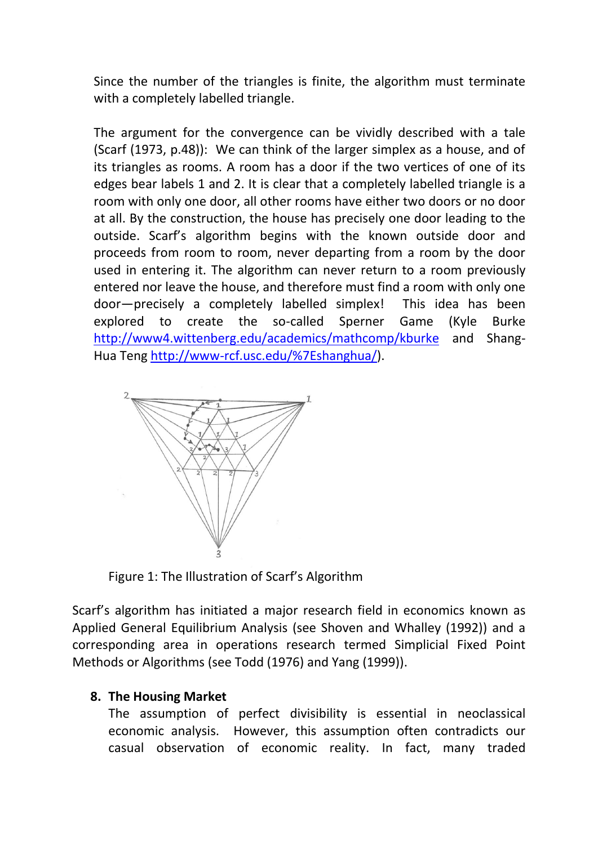Since the number of the triangles is finite, the algorithm must terminate with a completely labelled triangle.

The argument for the convergence can be vividly described with a tale (Scarf (1973, p.48)): We can think of the larger simplex as a house, and of its triangles as rooms. A room has a door if the two vertices of one of its edges bear labels 1 and 2. It is clear that a completely labelled triangle is a room with only one door, all other rooms have either two doors or no door at all. By the construction, the house has precisely one door leading to the outside. Scarf's algorithm begins with the known outside door and proceeds from room to room, never departing from a room by the door used in entering it. The algorithm can never return to a room previously entered nor leave the house, and therefore must find a room with only one door—precisely a completely labelled simplex! This idea has been explored to create the so-called Sperner Game (Kyle Burke <http://www4.wittenberg.edu/academics/mathcomp/kburke> and Shang-Hua Teng [http://www-rcf.usc.edu/%7Eshanghua/\)](http://www-rcf.usc.edu/~shanghua/).



Figure 1: The Illustration of Scarf's Algorithm

Scarf's algorithm has initiated a major research field in economics known as Applied General Equilibrium Analysis (see Shoven and Whalley (1992)) and a corresponding area in operations research termed Simplicial Fixed Point Methods or Algorithms (see Todd (1976) and Yang (1999)).

# **8. The Housing Market**

The assumption of perfect divisibility is essential in neoclassical economic analysis. However, this assumption often contradicts our casual observation of economic reality. In fact, many traded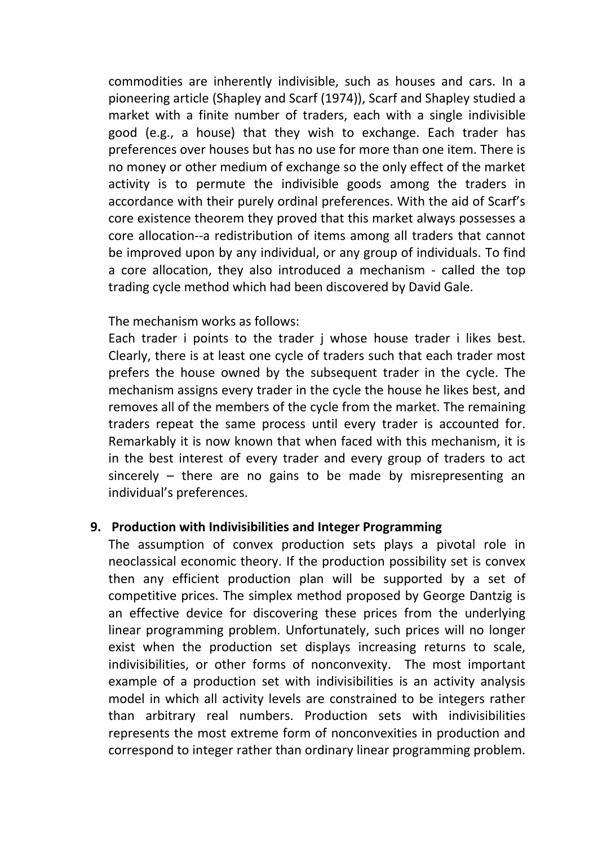commodities are inherently indivisible, such as houses and cars. In a pioneering article (Shapley and Scarf (1974)), Scarf and Shapley studied a market with a finite number of traders, each with a single indivisible good (e.g., a house) that they wish to exchange. Each trader has preferences over houses but has no use for more than one item. There is no money or other medium of exchange so the only effect of the market activity is to permute the indivisible goods among the traders in accordance with their purely ordinal preferences. With the aid of Scarf's core existence theorem they proved that this market always possesses a core allocation--a redistribution of items among all traders that cannot be improved upon by any individual, or any group of individuals. To find a core allocation, they also introduced a mechanism - called the top trading cycle method which had been discovered by David Gale.

# The mechanism works as follows:

Each trader i points to the trader j whose house trader i likes best. Clearly, there is at least one cycle of traders such that each trader most prefers the house owned by the subsequent trader in the cycle. The mechanism assigns every trader in the cycle the house he likes best, and removes all of the members of the cycle from the market. The remaining traders repeat the same process until every trader is accounted for. Remarkably it is now known that when faced with this mechanism, it is in the best interest of every trader and every group of traders to act sincerely  $-$  there are no gains to be made by misrepresenting an individual's preferences.

#### **9. Production with Indivisibilities and Integer Programming**

The assumption of convex production sets plays a pivotal role in neoclassical economic theory. If the production possibility set is convex then any efficient production plan will be supported by a set of competitive prices. The simplex method proposed by George Dantzig is an effective device for discovering these prices from the underlying linear programming problem. Unfortunately, such prices will no longer exist when the production set displays increasing returns to scale, indivisibilities, or other forms of nonconvexity. The most important example of a production set with indivisibilities is an activity analysis model in which all activity levels are constrained to be integers rather than arbitrary real numbers. Production sets with indivisibilities represents the most extreme form of nonconvexities in production and correspond to integer rather than ordinary linear programming problem.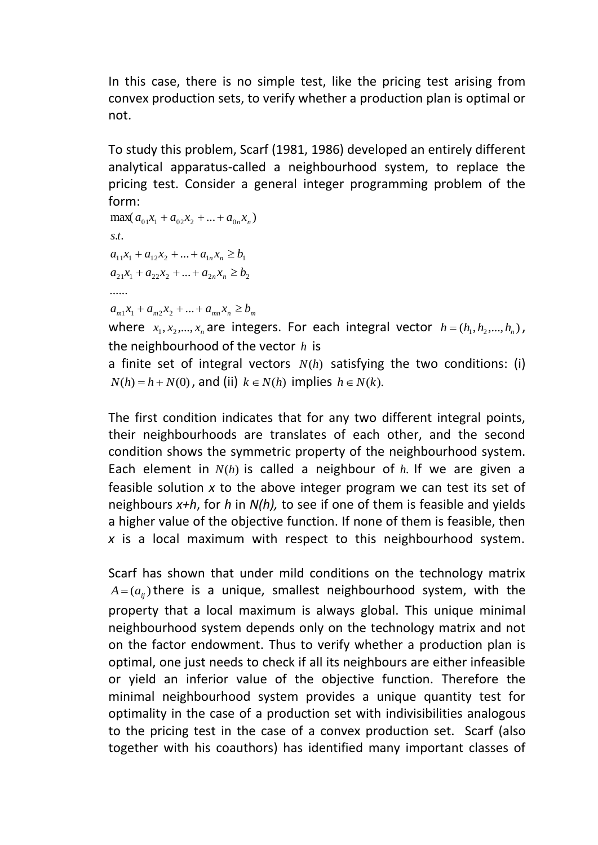In this case, there is no simple test, like the pricing test arising from convex production sets, to verify whether a production plan is optimal or not.

To study this problem, Scarf (1981, 1986) developed an entirely different analytical apparatus-called a neighbourhood system, to replace the pricing test. Consider a general integer programming problem of the form:

 $a_{21}x_1 + a_{22}x_2 + ... + a_{2n}x_n \ge b_2$  $a_{11}x_1 + a_{12}x_2 + \ldots + a_{1n}x_n \geq b_1$  $max(a_{01}x_1 + a_{02}x_2 + ... + a_{0n}x_n)$ *st* . . ......

 $a_{m1}x_1 + a_{m2}x_2 + ... + a_{mn}x_n \ge b_m$ 

where  $x_1, x_2, \ldots, x_n$  are integers. For each integral vector  $h = (h_1, h_2, \ldots, h_n)$ , the neighbourhood of the vector *h* is

a finite set of integral vectors  $N(h)$  satisfying the two conditions: (i)  $N(h) = h + N(0)$ , and (ii)  $k \in N(h)$  implies  $h \in N(k)$ .

The first condition indicates that for any two different integral points, their neighbourhoods are translates of each other, and the second condition shows the symmetric property of the neighbourhood system. Each element in  $N(h)$  is called a neighbour of  $h$ . If we are given a feasible solution *x* to the above integer program we can test its set of neighbours *x+h*, for *h* in *N(h),* to see if one of them is feasible and yields a higher value of the objective function. If none of them is feasible, then *x* is a local maximum with respect to this neighbourhood system.

Scarf has shown that under mild conditions on the technology matrix  $A = (a_{ij})$  there is a unique, smallest neighbourhood system, with the property that a local maximum is always global. This unique minimal neighbourhood system depends only on the technology matrix and not on the factor endowment. Thus to verify whether a production plan is optimal, one just needs to check if all its neighbours are either infeasible or yield an inferior value of the objective function. Therefore the minimal neighbourhood system provides a unique quantity test for optimality in the case of a production set with indivisibilities analogous to the pricing test in the case of a convex production set. Scarf (also together with his coauthors) has identified many important classes of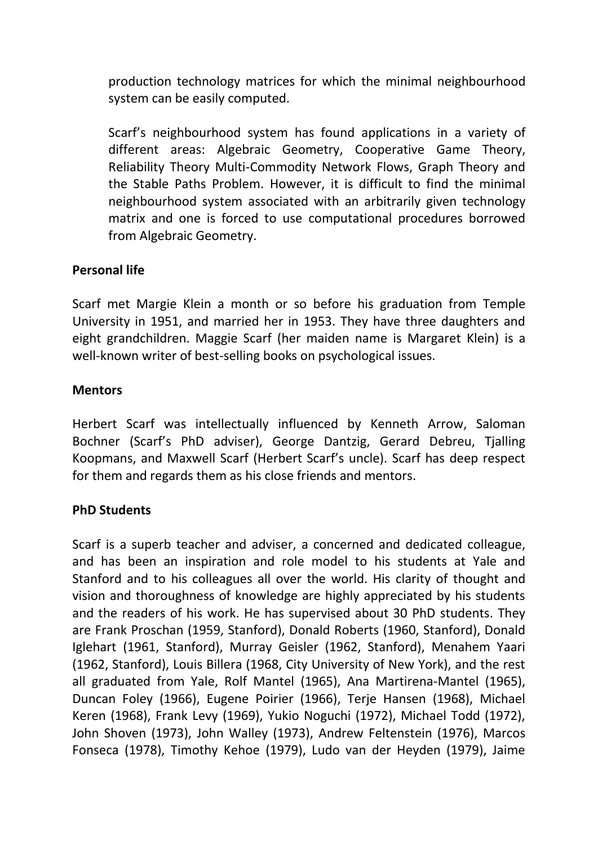production technology matrices for which the minimal neighbourhood system can be easily computed.

Scarf's neighbourhood system has found applications in a variety of different areas: Algebraic Geometry, Cooperative Game Theory, Reliability Theory Multi-Commodity Network Flows, Graph Theory and the Stable Paths Problem. However, it is difficult to find the minimal neighbourhood system associated with an arbitrarily given technology matrix and one is forced to use computational procedures borrowed from Algebraic Geometry.

# **Personal life**

Scarf met Margie Klein a month or so before his graduation from Temple University in 1951, and married her in 1953. They have three daughters and eight grandchildren. Maggie Scarf (her maiden name is Margaret Klein) is a well-known writer of best-selling books on psychological issues.

# **Mentors**

Herbert Scarf was intellectually influenced by Kenneth Arrow, Saloman Bochner (Scarf's PhD adviser), George Dantzig, Gerard Debreu, Tjalling Koopmans, and Maxwell Scarf (Herbert Scarf's uncle). Scarf has deep respect for them and regards them as his close friends and mentors.

# **PhD Students**

Scarf is a superb teacher and adviser, a concerned and dedicated colleague, and has been an inspiration and role model to his students at Yale and Stanford and to his colleagues all over the world. His clarity of thought and vision and thoroughness of knowledge are highly appreciated by his students and the readers of his work. He has supervised about 30 PhD students. They are Frank Proschan (1959, Stanford), Donald Roberts (1960, Stanford), Donald Iglehart (1961, Stanford), Murray Geisler (1962, Stanford), Menahem Yaari (1962, Stanford), Louis Billera (1968, City University of New York), and the rest all graduated from Yale, Rolf Mantel (1965), Ana Martirena-Mantel (1965), Duncan Foley (1966), Eugene Poirier (1966), Terje Hansen (1968), Michael Keren (1968), Frank Levy (1969), Yukio Noguchi (1972), Michael Todd (1972), John Shoven (1973), John Walley (1973), Andrew Feltenstein (1976), Marcos Fonseca (1978), Timothy Kehoe (1979), Ludo van der Heyden (1979), Jaime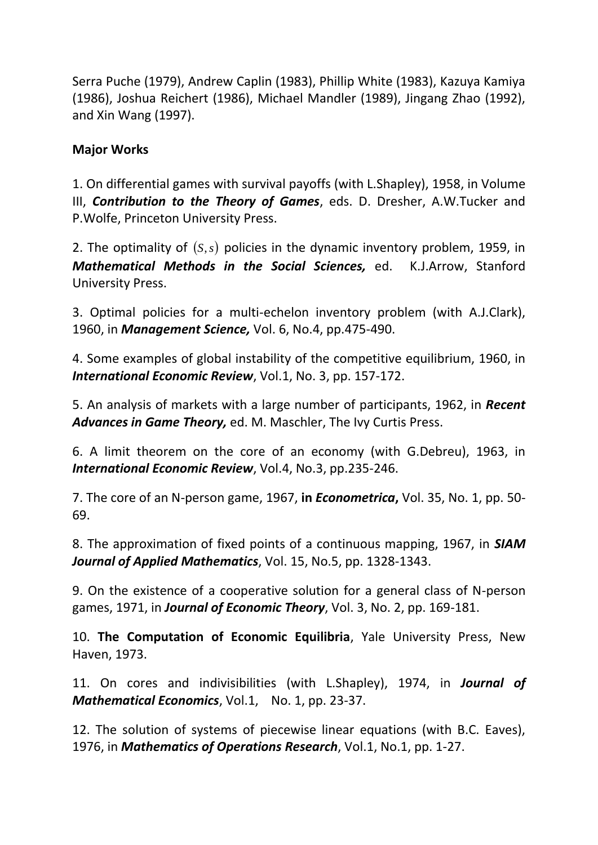Serra Puche (1979), Andrew Caplin (1983), Phillip White (1983), Kazuya Kamiya (1986), Joshua Reichert (1986), Michael Mandler (1989), Jingang Zhao (1992), and Xin Wang (1997).

# **Major Works**

1. On differential games with survival payoffs (with L.Shapley), 1958, in Volume III, *Contribution to the Theory of Games*, eds. D. Dresher, A.W.Tucker and P.Wolfe, Princeton University Press.

2. The optimality of  $(S, s)$  policies in the dynamic inventory problem, 1959, in *Mathematical Methods in the Social Sciences,* ed. K.J.Arrow, Stanford University Press.

3. Optimal policies for a multi-echelon inventory problem (with A.J.Clark), 1960, in *Management Science,* Vol. 6, No.4, pp.475-490.

4. Some examples of global instability of the competitive equilibrium, 1960, in *International Economic Review*, Vol.1, No. 3, pp. 157-172.

5. An analysis of markets with a large number of participants, 1962, in *Recent Advances in Game Theory,* ed. M. Maschler, The Ivy Curtis Press.

6. A limit theorem on the core of an economy (with G.Debreu), 1963, in *International Economic Review*, Vol.4, No.3, pp.235-246.

7. The core of an N-person game, 1967, **in** *Econometrica***,** Vol. 35, No. 1, pp. 50- 69.

8. The approximation of fixed points of a continuous mapping, 1967, in *SIAM Journal of Applied Mathematics*, Vol. 15, No.5, pp. 1328-1343.

9. On the existence of a cooperative solution for a general class of N-person games, 1971, in *Journal of Economic Theory*, Vol. 3, No. 2, pp. 169-181.

10. **The Computation of Economic Equilibria**, Yale University Press, New Haven, 1973.

11. On cores and indivisibilities (with L.Shapley), 1974, in *Journal of Mathematical Economics*, Vol.1, No. 1, pp. 23-37.

12. The solution of systems of piecewise linear equations (with B.C. Eaves), 1976, in *Mathematics of Operations Research*, Vol.1, No.1, pp. 1-27.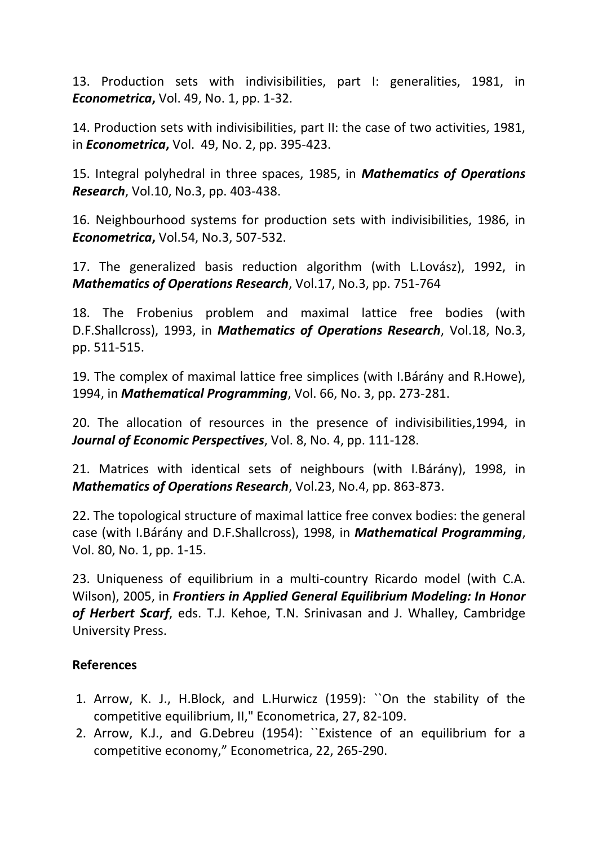13. Production sets with indivisibilities, part I: generalities, 1981, in *Econometrica***,** Vol. 49, No. 1, pp. 1-32.

14. Production sets with indivisibilities, part II: the case of two activities, 1981, in *Econometrica***,** Vol. 49, No. 2, pp. 395-423.

15. Integral polyhedral in three spaces, 1985, in *Mathematics of Operations Research*, Vol.10, No.3, pp. 403-438.

16. Neighbourhood systems for production sets with indivisibilities, 1986, in *Econometrica***,** Vol.54, No.3, 507-532.

17. The generalized basis reduction algorithm (with L.Lovász), 1992, in *Mathematics of Operations Research*, Vol.17, No.3, pp. 751-764

18. The Frobenius problem and maximal lattice free bodies (with D.F.Shallcross), 1993, in *Mathematics of Operations Research*, Vol.18, No.3, pp. 511-515.

19. The complex of maximal lattice free simplices (with I.Bárány and R.Howe), 1994, in *Mathematical Programming*, Vol. 66, No. 3, pp. 273-281.

20. The allocation of resources in the presence of indivisibilities,1994, in *Journal of Economic Perspectives*, Vol. 8, No. 4, pp. 111-128.

21. Matrices with identical sets of neighbours (with I.Bárány), 1998, in *Mathematics of Operations Research*, Vol.23, No.4, pp. 863-873.

22. The topological structure of maximal lattice free convex bodies: the general case (with I.Bárány and D.F.Shallcross), 1998, in *Mathematical Programming*, Vol. 80, No. 1, pp. 1-15.

23. Uniqueness of equilibrium in a multi-country Ricardo model (with C.A. Wilson), 2005, in *Frontiers in Applied General Equilibrium Modeling: In Honor of Herbert Scarf*, eds. T.J. Kehoe, T.N. Srinivasan and J. Whalley, Cambridge University Press.

# **References**

- 1. Arrow, K. J., H.Block, and L.Hurwicz (1959): ``On the stability of the competitive equilibrium, II," Econometrica, 27, 82-109.
- 2. Arrow, K.J., and G.Debreu (1954): ``Existence of an equilibrium for a competitive economy," Econometrica, 22, 265-290.